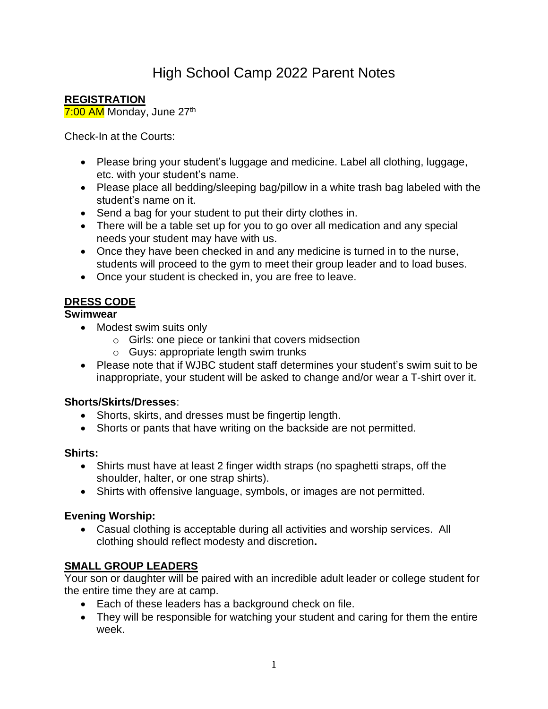# High School Camp 2022 Parent Notes

## **REGISTRATION**

7:00 AM Monday, June 27<sup>th</sup>

Check-In at the Courts:

- Please bring your student's luggage and medicine. Label all clothing, luggage, etc. with your student's name.
- Please place all bedding/sleeping bag/pillow in a white trash bag labeled with the student's name on it.
- Send a bag for your student to put their dirty clothes in.
- There will be a table set up for you to go over all medication and any special needs your student may have with us.
- Once they have been checked in and any medicine is turned in to the nurse, students will proceed to the gym to meet their group leader and to load buses.
- Once your student is checked in, you are free to leave.

# **DRESS CODE**

## **Swimwear**

- Modest swim suits only
	- o Girls: one piece or tankini that covers midsection
	- o Guys: appropriate length swim trunks
- Please note that if WJBC student staff determines your student's swim suit to be inappropriate, your student will be asked to change and/or wear a T-shirt over it.

## **Shorts/Skirts/Dresses**:

- Shorts, skirts, and dresses must be fingertip length.
- Shorts or pants that have writing on the backside are not permitted.

## **Shirts:**

- Shirts must have at least 2 finger width straps (no spaghetti straps, off the shoulder, halter, or one strap shirts).
- Shirts with offensive language, symbols, or images are not permitted.

## **Evening Worship:**

• Casual clothing is acceptable during all activities and worship services. All clothing should reflect modesty and discretion**.**

## **SMALL GROUP LEADERS**

Your son or daughter will be paired with an incredible adult leader or college student for the entire time they are at camp.

- Each of these leaders has a background check on file.
- They will be responsible for watching your student and caring for them the entire week.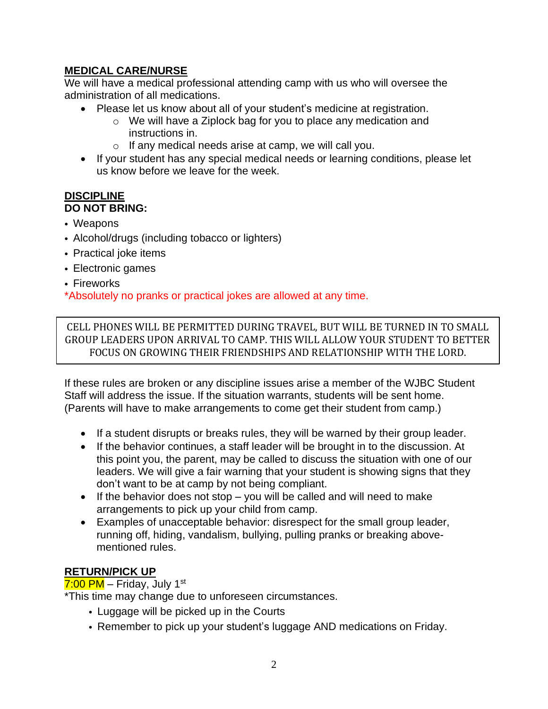## **MEDICAL CARE/NURSE**

We will have a medical professional attending camp with us who will oversee the administration of all medications.

- Please let us know about all of your student's medicine at registration.
	- o We will have a Ziplock bag for you to place any medication and instructions in.
	- o If any medical needs arise at camp, we will call you.
- If your student has any special medical needs or learning conditions, please let us know before we leave for the week.

#### **DISCIPLINE DO NOT BRING:**

- Weapons
- Alcohol/drugs (including tobacco or lighters)
- Practical joke items
- Electronic games
- Fireworks

\*Absolutely no pranks or practical jokes are allowed at any time.

CELL PHONES WILL BE PERMITTED DURING TRAVEL, BUT WILL BE TURNED IN TO SMALL GROUP LEADERS UPON ARRIVAL TO CAMP. THIS WILL ALLOW YOUR STUDENT TO BETTER FOCUS ON GROWING THEIR FRIENDSHIPS AND RELATIONSHIP WITH THE LORD.

If these rules are broken or any discipline issues arise a member of the WJBC Student Staff will address the issue. If the situation warrants, students will be sent home. (Parents will have to make arrangements to come get their student from camp.)

- If a student disrupts or breaks rules, they will be warned by their group leader.
- If the behavior continues, a staff leader will be brought in to the discussion. At this point you, the parent, may be called to discuss the situation with one of our leaders. We will give a fair warning that your student is showing signs that they don't want to be at camp by not being compliant.
- If the behavior does not stop you will be called and will need to make arrangements to pick up your child from camp.
- Examples of unacceptable behavior: disrespect for the small group leader, running off, hiding, vandalism, bullying, pulling pranks or breaking abovementioned rules.

# **RETURN/PICK UP**

<mark>7:00 PM</mark> – Friday, July 1<sup>st</sup>

\*This time may change due to unforeseen circumstances.

- Luggage will be picked up in the Courts
- Remember to pick up your student's luggage AND medications on Friday.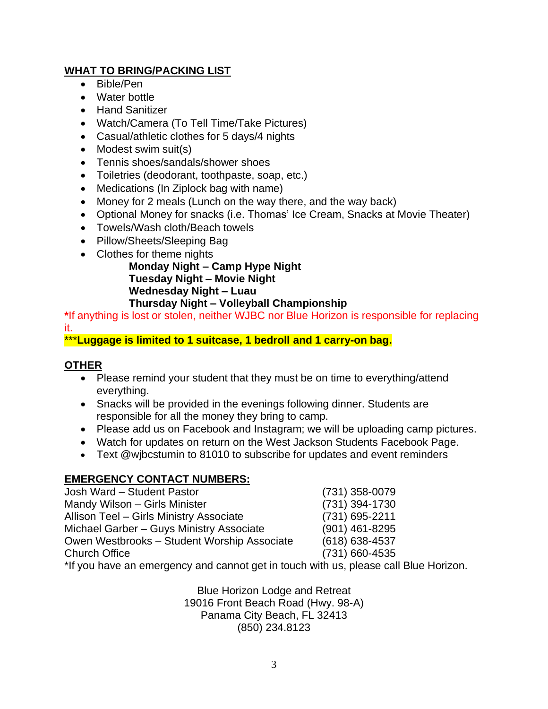# **WHAT TO BRING/PACKING LIST**

- Bible/Pen
- Water bottle
- Hand Sanitizer
- Watch/Camera (To Tell Time/Take Pictures)
- Casual/athletic clothes for 5 days/4 nights
- Modest swim suit(s)
- Tennis shoes/sandals/shower shoes
- Toiletries (deodorant, toothpaste, soap, etc.)
- Medications (In Ziplock bag with name)
- Money for 2 meals (Lunch on the way there, and the way back)
- Optional Money for snacks (i.e. Thomas' Ice Cream, Snacks at Movie Theater)
- Towels/Wash cloth/Beach towels
- Pillow/Sheets/Sleeping Bag
- Clothes for theme nights

**Monday Night – Camp Hype Night Tuesday Night – Movie Night Wednesday Night – Luau Thursday Night – Volleyball Championship**

**\***If anything is lost or stolen, neither WJBC nor Blue Horizon is responsible for replacing it.

\*\*\***Luggage is limited to 1 suitcase, 1 bedroll and 1 carry-on bag.**

## **OTHER**

- Please remind your student that they must be on time to everything/attend everything.
- Snacks will be provided in the evenings following dinner. Students are responsible for all the money they bring to camp.
- Please add us on Facebook and Instagram; we will be uploading camp pictures.
- Watch for updates on return on the West Jackson Students Facebook Page.
- Text @wjbcstumin to 81010 to subscribe for updates and event reminders

# **EMERGENCY CONTACT NUMBERS:**

| Josh Ward - Student Pastor                                                  | (731) 358-0079     |
|-----------------------------------------------------------------------------|--------------------|
| Mandy Wilson - Girls Minister                                               | (731) 394-1730     |
| Allison Teel - Girls Ministry Associate                                     | (731) 695-2211     |
| Michael Garber - Guys Ministry Associate                                    | (901) 461-8295     |
| Owen Westbrooks - Student Worship Associate                                 | $(618) 638 - 4537$ |
| <b>Church Office</b>                                                        | (731) 660-4535     |
| $\star$ lf you hous an amazonay and connat not in tough with us places call |                    |

If you have an emergency and cannot get in touch with us, please call Blue Horizon.

Blue Horizon Lodge and Retreat 19016 Front Beach Road (Hwy. 98-A) Panama City Beach, FL 32413 (850) 234.8123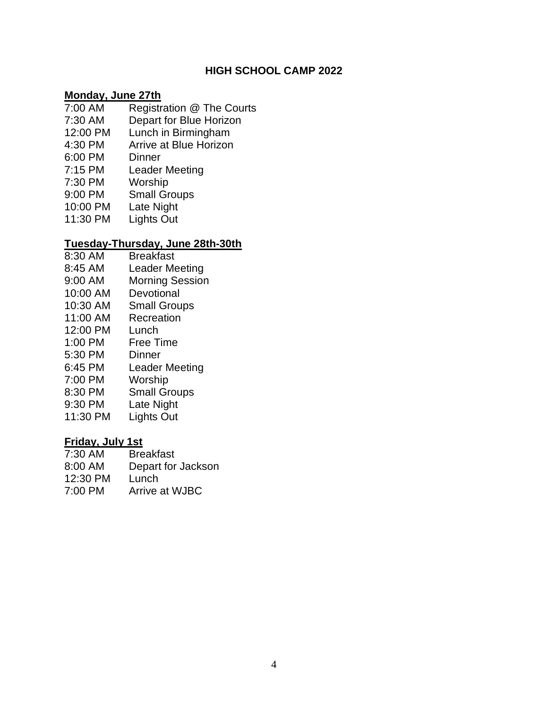## **HIGH SCHOOL CAMP 2022**

#### **Monday, June 27th**

- 7:00 AM Registration @ The Courts
- 7:30 AM Depart for Blue Horizon
- 12:00 PM Lunch in Birmingham
- 4:30 PM Arrive at Blue Horizon
- 6:00 PM Dinner
- 7:15 PM Leader Meeting
- 7:30 PM Worship
- 9:00 PM Small Groups
- 10:00 PM Late Night
- 11:30 PM Lights Out

#### **Tuesday-Thursday, June 28th-30th**

- 8:30 AM Breakfast
- 8:45 AM Leader Meeting
- 9:00 AM Morning Session
- 10:00 AM Devotional
- 10:30 AM Small Groups
- 11:00 AM Recreation
- 12:00 PM Lunch
- 1:00 PM Free Time
- 5:30 PM Dinner
- 6:45 PM Leader Meeting
- 7:00 PM Worship
- 8:30 PM Small Groups
- 9:30 PM Late Night
- 11:30 PM Lights Out

## **Friday, July 1st**

- 7:30 AM Breakfast
- 8:00 AM Depart for Jackson
- 12:30 PM Lunch
- 7:00 PM Arrive at WJBC